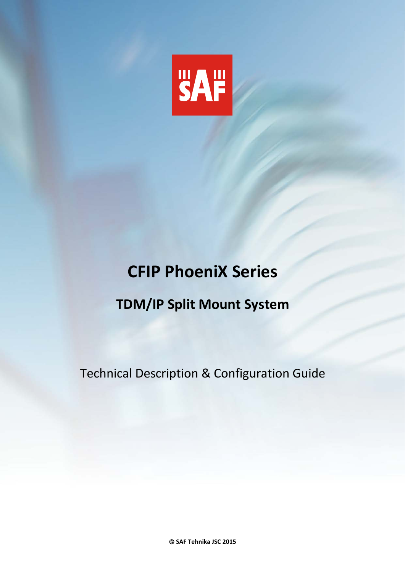

# **TDM/IP Split Mount System**

Technical Description & Configuration Guide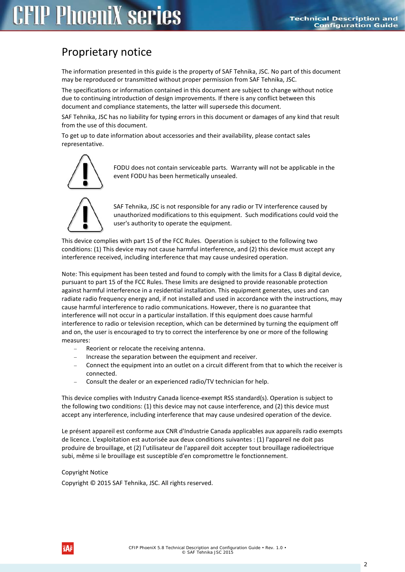# Proprietary notice

The information presented in this guide is the property of SAF Tehnika, JSC. No part of this document may be reproduced or transmitted without proper permission from SAF Tehnika, JSC.

The specifications or information contained in this document are subject to change without notice due to continuing introduction of design improvements. If there is any conflict between this document and compliance statements, the latter will supersede this document.

SAF Tehnika, JSC has no liability for typing errors in this document or damages of any kind that result from the use of this document.

To get up to date information about accessories and their availability, please contact sales representative.



FODU does not contain serviceable parts. Warranty will not be applicable in the event FODU has been hermetically unsealed.



SAF Tehnika, JSC is not responsible for any radio or TV interference caused by unauthorized modifications to this equipment. Such modifications could void the user's authority to operate the equipment.

This device complies with part 15 of the FCC Rules. Operation is subject to the following two conditions: (1) This device may not cause harmful interference, and (2) this device must accept any interference received, including interference that may cause undesired operation.

Note: This equipment has been tested and found to comply with the limits for a Class B digital device, pursuant to part 15 of the FCC Rules. These limits are designed to provide reasonable protection against harmful interference in a residential installation. This equipment generates, uses and can radiate radio frequency energy and, if not installed and used in accordance with the instructions, may cause harmful interference to radio communications. However, there is no guarantee that interference will not occur in a particular installation. If this equipment does cause harmful interference to radio or television reception, which can be determined by turning the equipment off and on, the user is encouraged to try to correct the interference by one or more of the following measures:

- Reorient or relocate the receiving antenna.
- Increase the separation between the equipment and receiver.
- − Connect the equipment into an outlet on a circuit different from that to which the receiver is connected.
- − Consult the dealer or an experienced radio/TV technician for help.

This device complies with Industry Canada licence-exempt RSS standard(s). Operation is subject to the following two conditions: (1) this device may not cause interference, and (2) this device must accept any interference, including interference that may cause undesired operation of the device.

Le présent appareil est conforme aux CNR d'Industrie Canada applicables aux appareils radio exempts de licence. L'exploitation est autorisée aux deux conditions suivantes : (1) l'appareil ne doit pas produire de brouillage, et (2) l'utilisateur de l'appareil doit accepter tout brouillage radioélectrique subi, même si le brouillage est susceptible d'en compromettre le fonctionnement.

#### Copyright Notice

Copyright © 2015 SAF Tehnika, JSC. All rights reserved.

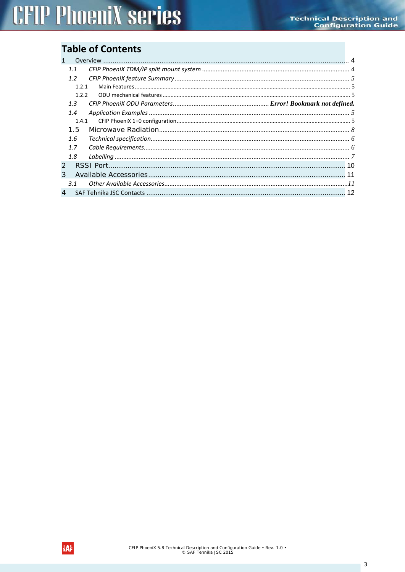## **Table of Contents**

| $\mathbf{1}$   |       |  |
|----------------|-------|--|
|                | 1.1   |  |
|                | 1.2   |  |
|                | 1.2.1 |  |
|                | 1.2.2 |  |
|                | 1.3   |  |
|                | 1.4   |  |
|                | 1.4.1 |  |
|                | 1.5   |  |
|                | 1.6   |  |
|                | 1.7   |  |
|                | 1.8   |  |
| $\overline{2}$ |       |  |
| 3              |       |  |
|                | 3.1   |  |
| $\overline{4}$ |       |  |

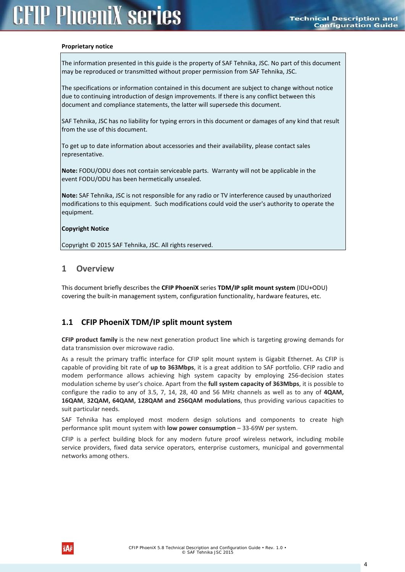#### **Proprietary notice**

The information presented in this guide is the property of SAF Tehnika, JSC. No part of this document may be reproduced or transmitted without proper permission from SAF Tehnika, JSC.

The specifications or information contained in this document are subject to change without notice due to continuing introduction of design improvements. If there is any conflict between this document and compliance statements, the latter will supersede this document.

SAF Tehnika, JSC has no liability for typing errors in this document or damages of any kind that result from the use of this document.

To get up to date information about accessories and their availability, please contact sales representative.

**Note:** FODU/ODU does not contain serviceable parts. Warranty will not be applicable in the event FODU/ODU has been hermetically unsealed.

**Note:** SAF Tehnika, JSC is not responsible for any radio or TV interference caused by unauthorized modifications to this equipment. Such modifications could void the user's authority to operate the equipment.

#### **Copyright Notice**

Copyright © 2015 SAF Tehnika, JSC. All rights reserved.

#### <span id="page-3-0"></span>**1 Overview**

This document briefly describes the **CFIP PhoeniX** series **TDM/IP split mount system** (IDU+ODU) covering the built-in management system, configuration functionality, hardware features, etc.

#### <span id="page-3-1"></span>**1.1 CFIP PhoeniX TDM/IP split mount system**

**CFIP product family** is the new next generation product line which is targeting growing demands for data transmission over microwave radio.

As a result the primary traffic interface for CFIP split mount system is Gigabit Ethernet. As CFIP is capable of providing bit rate of **up to 363Mbps**, it is a great addition to SAF portfolio. CFIP radio and modem performance allows achieving high system capacity by employing 256-decision states modulation scheme by user's choice. Apart from the **full system capacity of 363Mbps**, it is possible to configure the radio to any of 3.5, 7, 14, 28, 40 and 56 MHz channels as well as to any of **4QAM, 16QAM**, **32QAM, 64QAM, 128QAM and 256QAM modulations**, thus providing various capacities to suit particular needs.

SAF Tehnika has employed most modern design solutions and components to create high performance split mount system with **low power consumption** – 33-69W per system.

CFIP is a perfect building block for any modern future proof wireless network, including mobile service providers, fixed data service operators, enterprise customers, municipal and governmental networks among others.

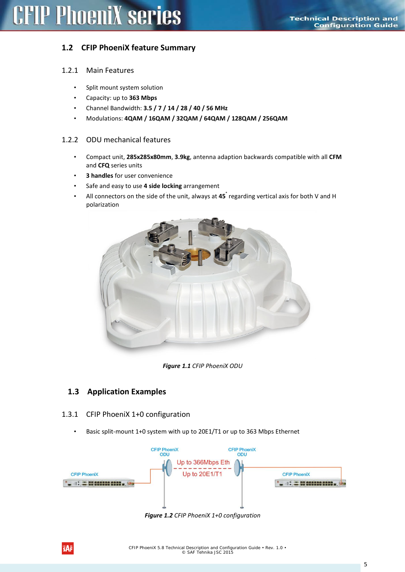### <span id="page-4-0"></span>**1.2 CFIP PhoeniX feature Summary**

#### <span id="page-4-1"></span>1.2.1 Main Features

- Split mount system solution
- Capacity: up to **363 Mbps**
- Channel Bandwidth: **3.5 / 7 / 14 / 28 / 40 / 56 MHz**
- Modulations: **4QAM / 16QAM / 32QAM / 64QAM / 128QAM / 256QAM**

#### <span id="page-4-2"></span>1.2.2 ODU mechanical features

- Compact unit, **285x285x80mm**, **3.9kg**, antenna adaption backwards compatible with all **CFM** and **CFQ** series units
- **3 handles** for user convenience
- Safe and easy to use **4 side locking** arrangement
- All connectors on the side of the unit, always at **45°** regarding vertical axis for both V and H polarization



*Figure 1.1 CFIP PhoeniX ODU*

### <span id="page-4-3"></span>**1.3 Application Examples**

#### <span id="page-4-4"></span>1.3.1 CFIP PhoeniX 1+0 configuration

• Basic split-mount 1+0 system with up to 20E1/T1 or up to 363 Mbps Ethernet



*Figure 1.2 CFIP PhoeniX 1+0 configuration*

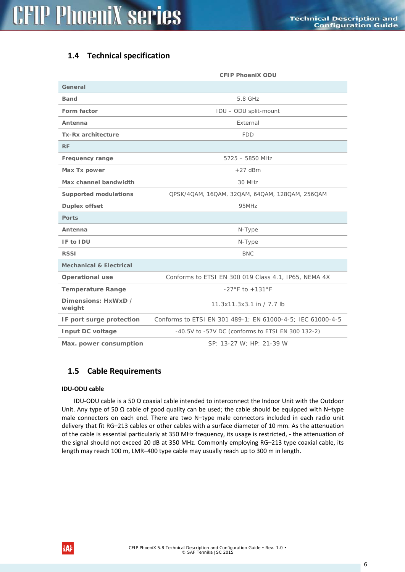## <span id="page-5-0"></span>**1.4 Technical specification**

|                                    | <b>CFIP PhoeniX ODU</b>                                    |
|------------------------------------|------------------------------------------------------------|
| General                            |                                                            |
| <b>Band</b>                        | 5.8 GHz                                                    |
| Form factor                        | IDU - ODU split-mount                                      |
| Antenna                            | External                                                   |
| <b>Tx-Rx architecture</b>          | <b>FDD</b>                                                 |
| <b>RF</b>                          |                                                            |
| Frequency range                    | $5725 - 5850$ MHz                                          |
| Max Tx power                       | $+27$ dBm                                                  |
| Max channel bandwidth              | 30 MHz                                                     |
| <b>Supported modulations</b>       | QPSK/4QAM, 16QAM, 32QAM, 64QAM, 128QAM, 256QAM             |
| <b>Duplex offset</b>               | 95MHz                                                      |
| <b>Ports</b>                       |                                                            |
| Antenna                            | N-Type                                                     |
| IF to IDU                          | N-Type                                                     |
| <b>RSSI</b>                        | <b>BNC</b>                                                 |
| <b>Mechanical &amp; Electrical</b> |                                                            |
| <b>Operational use</b>             | Conforms to ETSI EN 300 019 Class 4.1, IP65, NEMA 4X       |
| <b>Temperature Range</b>           | $-27^{\circ}$ F to $+131^{\circ}$ F                        |
| Dimensions: HxWxD /<br>weight      | 11.3x11.3x3.1 in / 7.7 lb                                  |
| IF port surge protection           | Conforms to ETSI EN 301 489-1; EN 61000-4-5; IEC 61000-4-5 |
| Input DC voltage                   | -40.5V to -57V DC (conforms to ETSI EN 300 132-2)          |
| Max. power consumption             | SP: 13-27 W; HP: 21-39 W                                   |

### <span id="page-5-1"></span>**1.5 Cable Requirements**

#### **IDU-ODU cable**

IDU-ODU cable is a 50 Ω coaxial cable intended to interconnect the Indoor Unit with the Outdoor Unit. Any type of 50  $\Omega$  cable of good quality can be used; the cable should be equipped with N-type male connectors on each end. There are two N–type male connectors included in each radio unit delivery that fit RG–213 cables or other cables with a surface diameter of 10 mm. As the attenuation of the cable is essential particularly at 350 MHz frequency, its usage is restricted, - the attenuation of the signal should not exceed 20 dB at 350 MHz. Commonly employing RG–213 type coaxial cable, its length may reach 100 m, LMR–400 type cable may usually reach up to 300 m in length.

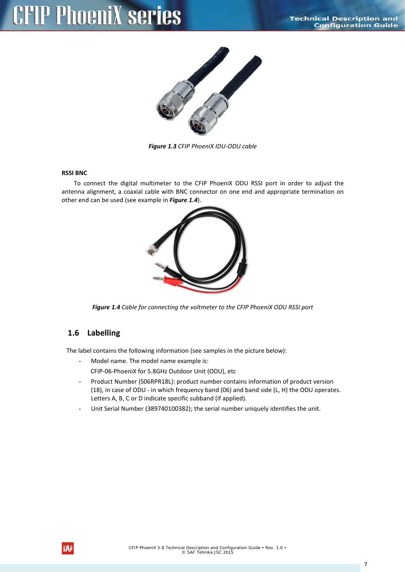

*Figure 1.3 CFIP PhoeniX IDU-ODU cable*

#### **RSSI BNC**

To connect the digital multimeter to the CFIP PhoeniX ODU RSSI port in order to adjust the antenna alignment, a coaxial cable with BNC connector on one end and appropriate termination on other end can be used (see example in *[Figure 1.4](#page-6-1)*).



*Figure 1.4 Cable for connecting the voltmeter to the CFIP PhoeniX ODU RSSI port*

### <span id="page-6-1"></span><span id="page-6-0"></span>**1.6 Labelling**

The label contains the following information (see samples in the picture below):

- Model name. The model name example is:

CFIP-06-PhoeniX for 5.8GHz Outdoor Unit (ODU), etc

- Product Number (S06RPR18L): product number contains information of product version (18), in case of ODU - in which frequency band (06) and band side (L, H) the ODU operates. Letters A, B, C or D indicate specific subband (if applied).
- Unit Serial Number (389740100382); the serial number uniquely identifies the unit.

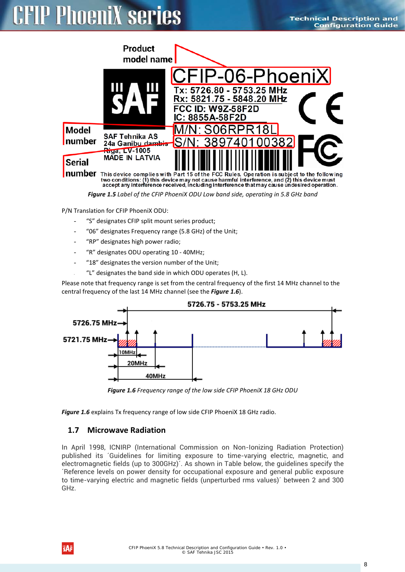# **PhoeniX series**



*Figure 1.5 Label of the CFIP PhoeniX ODU Low band side, operating in 5.8 GHz band*

P/N Translation for CFIP PhoeniX ODU:

- "S" designates CFIP split mount series product;
- "06" designates Frequency range (5.8 GHz) of the Unit;
- "RP" designates high power radio;
- "R" designates ODU operating 10 40MHz;
- "18" designates the version number of the Unit;
- "L" designates the band side in which ODU operates (H, L).

Please note that frequency range is set from the central frequency of the first 14 MHz channel to the central frequency of the last 14 MHz channel (see the *[Figure 1.6](#page-7-1)*).



*Figure 1.6 Frequency range of the low side CFIP PhoeniX 18 GHz ODU*

<span id="page-7-1"></span><span id="page-7-0"></span>*[Figure 1.6](#page-7-1)* explains Tx frequency range of low side CFIP PhoeniX 18 GHz radio.

#### **1.7 Microwave Radiation**

In April 1998, ICNIRP (International Commission on Non-Ionizing Radiation Protection) published its ´Guidelines for limiting exposure to time-varying electric, magnetic, and electromagnetic fields (up to 300GHz)´. As shown in Table below, the guidelines specify the ´Reference levels on power density for occupational exposure and general public exposure to time-varying electric and magnetic fields (unperturbed rms values)´ between 2 and 300 GHz.

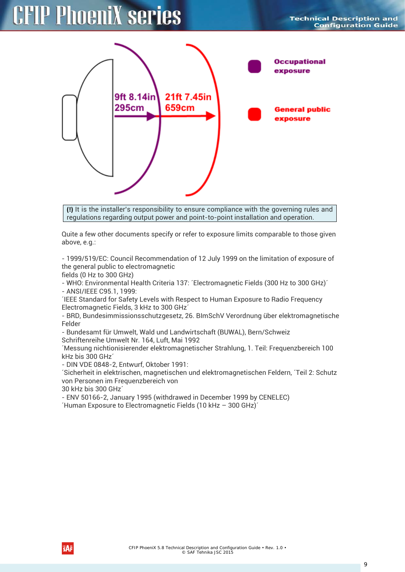

**(!)** It is the installer's responsibility to ensure compliance with the governing rules and regulations regarding output power and point-to-point installation and operation.

Quite a few other documents specify or refer to exposure limits comparable to those given above, e.g.:

- 1999/519/EC: Council Recommendation of 12 July 1999 on the limitation of exposure of the general public to electromagnetic

fields (0 Hz to 300 GHz)

- WHO: Environmental Health Criteria 137: ´Electromagnetic Fields (300 Hz to 300 GHz)´ - ANSI/IEEE C95.1, 1999:

´IEEE Standard for Safety Levels with Respect to Human Exposure to Radio Frequency Electromagnetic Fields, 3 kHz to 300 GHz´

- BRD, Bundesimmissionsschutzgesetz, 26. BImSchV Verordnung über elektromagnetische Felder

- Bundesamt für Umwelt, Wald und Landwirtschaft (BUWAL), Bern/Schweiz

Schriftenreihe Umwelt Nr. 164, Luft, Mai 1992

´Messung nichtionisierender elektromagnetischer Strahlung, 1. Teil: Frequenzbereich 100 kHz bis 300 GHz´

- DIN VDE 0848-2, Entwurf, Oktober 1991:

´Sicherheit in elektrischen, magnetischen und elektromagnetischen Feldern, ´Teil 2: Schutz von Personen im Frequenzbereich von

30 kHz bis 300 GHz´

- ENV 50166-2, January 1995 (withdrawed in December 1999 by CENELEC) ´Human Exposure to Electromagnetic Fields (10 kHz – 300 GHz)´

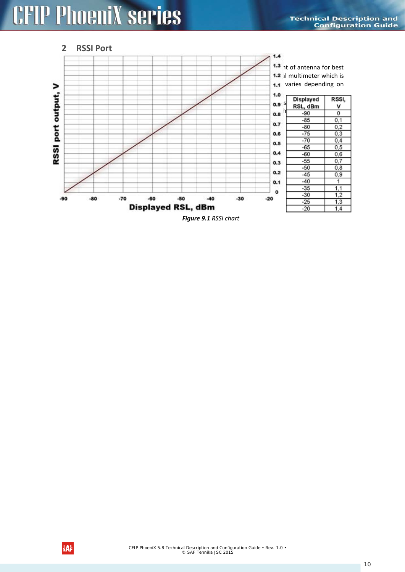<span id="page-9-0"></span>

*Figure 9.1 RSSI chart*

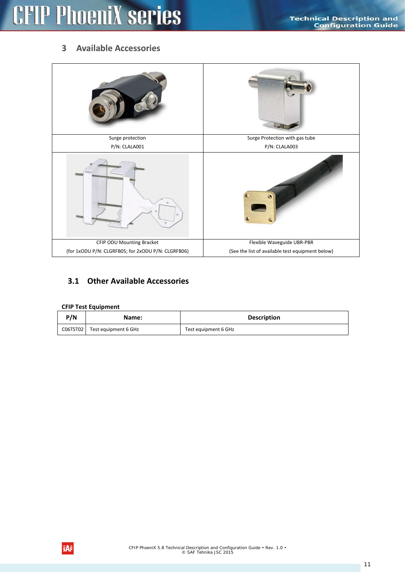## <span id="page-10-0"></span>**3 Available Accessories**

| Surge protection                                   | Surge Protection with gas tube                   |
|----------------------------------------------------|--------------------------------------------------|
| P/N: CLALA001                                      | P/N: CLALA003                                    |
|                                                    |                                                  |
| CFIP ODU Mounting Bracket                          | Flexible Waveguide UBR-PBR                       |
| (for 1xODU P/N: CLGRFB05; for 2xODU P/N: CLGRFB06) | (See the list of available test equipment below) |

### <span id="page-10-1"></span>**3.1 Other Available Accessories**

#### **CFIP Test Equipment**

| P/N      | Name:                | <b>Description</b>   |
|----------|----------------------|----------------------|
| CO6TST02 | Test equipment 6 GHz | Test equipment 6 GHz |